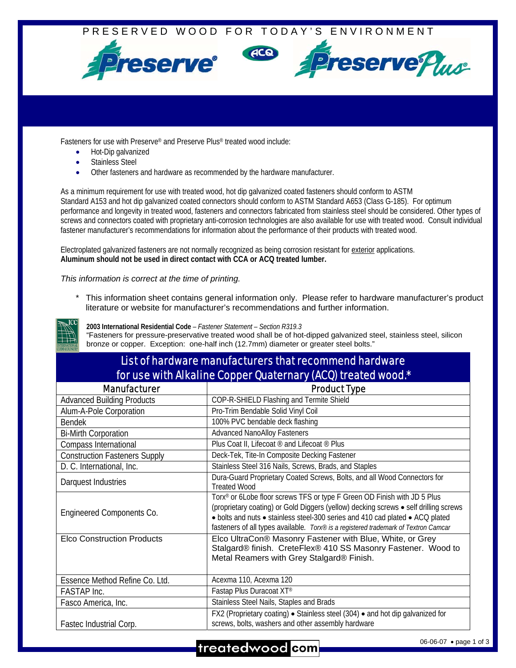

Fasteners for use with Preserve® and Preserve Plus® treated wood include:

- Hot-Dip galvanized
- Stainless Steel
- Other fasteners and hardware as recommended by the hardware manufacturer.

As a minimum requirement for use with treated wood, hot dip galvanized coated fasteners should conform to ASTM Standard A153 and hot dip galvanized coated connectors should conform to ASTM Standard A653 (Class G-185). For optimum performance and longevity in treated wood, fasteners and connectors fabricated from stainless steel should be considered. Other types of screws and connectors coated with proprietary anti-corrosion technologies are also available for use with treated wood. Consult individual fastener manufacturer's recommendations for information about the performance of their products with treated wood.

Electroplated galvanized fasteners are not normally recognized as being corrosion resistant for exterior applications. **Aluminum should not be used in direct contact with CCA or ACQ treated lumber.** 

## *This information is correct at the time of printing.*

This information sheet contains general information only. Please refer to hardware manufacturer's product literature or website for manufacturer's recommendations and further information.



**2003 International Residential Code** *– Fastener Statement – Section R319.3*  "Fasteners for pressure-preservative treated wood shall be of hot-dipped galvanized steel, stainless steel, silicon bronze or copper. Exception: one-half inch (12.7mm) diameter or greater steel bolts."

| List of hardware manufacturers that recommend hardware       |
|--------------------------------------------------------------|
| for use with Alkaline Copper Quaternary (ACQ) treated wood.* |

| <b>Manufacturer</b>                  | <b>Product Type</b>                                                                                                                                                                                                                                                                                                                      |
|--------------------------------------|------------------------------------------------------------------------------------------------------------------------------------------------------------------------------------------------------------------------------------------------------------------------------------------------------------------------------------------|
| <b>Advanced Building Products</b>    | COP-R-SHIELD Flashing and Termite Shield                                                                                                                                                                                                                                                                                                 |
| Alum-A-Pole Corporation              | Pro-Trim Bendable Solid Vinyl Coil                                                                                                                                                                                                                                                                                                       |
| <b>Bendek</b>                        | 100% PVC bendable deck flashing                                                                                                                                                                                                                                                                                                          |
| <b>Bi-Mirth Corporation</b>          | <b>Advanced NanoAlloy Fasteners</b>                                                                                                                                                                                                                                                                                                      |
| Compass International                | Plus Coat II, Lifecoat ® and Lifecoat ® Plus                                                                                                                                                                                                                                                                                             |
| <b>Construction Fasteners Supply</b> | Deck-Tek, Tite-In Composite Decking Fastener                                                                                                                                                                                                                                                                                             |
| D. C. International, Inc.            | Stainless Steel 316 Nails, Screws, Brads, and Staples                                                                                                                                                                                                                                                                                    |
| Darquest Industries                  | Dura-Guard Proprietary Coated Screws, Bolts, and all Wood Connectors for<br><b>Treated Wood</b>                                                                                                                                                                                                                                          |
| Engineered Components Co.            | Torx® or 6Lobe floor screws TFS or type F Green OD Finish with JD 5 Plus<br>(proprietary coating) or Gold Diggers (yellow) decking screws • self drilling screws<br>• bolts and nuts • stainless steel-300 series and 410 cad plated • ACQ plated<br>fasteners of all types available. Torx® is a registered trademark of Textron Camcar |
| <b>Elco Construction Products</b>    | Elco UltraCon® Masonry Fastener with Blue, White, or Grey<br>Stalgard® finish. CreteFlex® 410 SS Masonry Fastener. Wood to<br>Metal Reamers with Grey Stalgard® Finish.                                                                                                                                                                  |
| Essence Method Refine Co. Ltd.       | Acexma 110, Acexma 120                                                                                                                                                                                                                                                                                                                   |
| <b>FASTAP</b> Inc.                   | Fastap Plus Duracoat XT®                                                                                                                                                                                                                                                                                                                 |
| Fasco America, Inc.                  | Stainless Steel Nails, Staples and Brads                                                                                                                                                                                                                                                                                                 |
| Fastec Industrial Corp.              | FX2 (Proprietary coating) • Stainless steel (304) • and hot dip galvanized for<br>screws, bolts, washers and other assembly hardware                                                                                                                                                                                                     |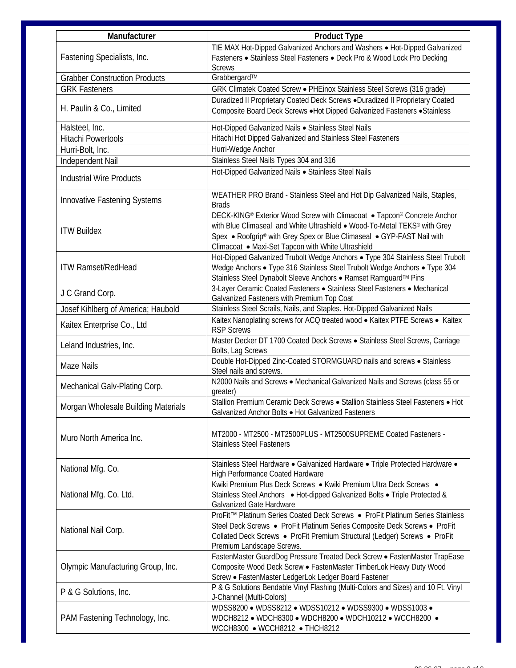| Manufacturer                         | <b>Product Type</b>                                                                                                                                                                                                                                                                              |
|--------------------------------------|--------------------------------------------------------------------------------------------------------------------------------------------------------------------------------------------------------------------------------------------------------------------------------------------------|
| Fastening Specialists, Inc.          | TIE MAX Hot-Dipped Galvanized Anchors and Washers . Hot-Dipped Galvanized<br>Fasteners • Stainless Steel Fasteners • Deck Pro & Wood Lock Pro Decking<br><b>Screws</b>                                                                                                                           |
| <b>Grabber Construction Products</b> | Grabbergard™                                                                                                                                                                                                                                                                                     |
| <b>GRK Fasteners</b>                 | GRK Climatek Coated Screw · PHEinox Stainless Steel Screws (316 grade)                                                                                                                                                                                                                           |
| H. Paulin & Co., Limited             | Duradized II Proprietary Coated Deck Screws .Duradized II Proprietary Coated<br>Composite Board Deck Screws . Hot Dipped Galvanized Fasteners . Stainless                                                                                                                                        |
| Halsteel, Inc.                       | Hot-Dipped Galvanized Nails . Stainless Steel Nails                                                                                                                                                                                                                                              |
| <b>Hitachi Powertools</b>            | Hitachi Hot Dipped Galvanized and Stainless Steel Fasteners                                                                                                                                                                                                                                      |
| Hurri-Bolt, Inc.                     | Hurri-Wedge Anchor                                                                                                                                                                                                                                                                               |
| Independent Nail                     | Stainless Steel Nails Types 304 and 316                                                                                                                                                                                                                                                          |
| <b>Industrial Wire Products</b>      | Hot-Dipped Galvanized Nails · Stainless Steel Nails                                                                                                                                                                                                                                              |
| Innovative Fastening Systems         | WEATHER PRO Brand - Stainless Steel and Hot Dip Galvanized Nails, Staples,<br><b>Brads</b>                                                                                                                                                                                                       |
| <b>ITW Buildex</b>                   | DECK-KING® Exterior Wood Screw with Climacoat • Tapcon® Concrete Anchor<br>with Blue Climaseal and White Ultrashield . Wood-To-Metal TEKS <sup>®</sup> with Grey<br>Spex • Roofgrip® with Grey Spex or Blue Climaseal • GYP-FAST Nail with<br>Climacoat • Maxi-Set Tapcon with White Ultrashield |
| <b>ITW Ramset/RedHead</b>            | Hot-Dipped Galvanized Trubolt Wedge Anchors . Type 304 Stainless Steel Trubolt<br>Wedge Anchors • Type 316 Stainless Steel Trubolt Wedge Anchors • Type 304<br>Stainless Steel Dynabolt Sleeve Anchors · Ramset Ramguard™ Pins                                                                   |
| J C Grand Corp.                      | 3-Layer Ceramic Coated Fasteners · Stainless Steel Fasteners · Mechanical<br>Galvanized Fasteners with Premium Top Coat                                                                                                                                                                          |
| Josef Kihlberg of America; Haubold   | Stainless Steel Scrails, Nails, and Staples. Hot-Dipped Galvanized Nails                                                                                                                                                                                                                         |
| Kaitex Enterprise Co., Ltd           | Kaitex Nanoplating screws for ACQ treated wood . Kaitex PTFE Screws . Kaitex<br><b>RSP Screws</b>                                                                                                                                                                                                |
| Leland Industries, Inc.              | Master Decker DT 1700 Coated Deck Screws . Stainless Steel Screws, Carriage<br>Bolts, Lag Screws                                                                                                                                                                                                 |
| <b>Maze Nails</b>                    | Double Hot-Dipped Zinc-Coated STORMGUARD nails and screws . Stainless<br>Steel nails and screws.                                                                                                                                                                                                 |
| Mechanical Galv-Plating Corp.        | N2000 Nails and Screws . Mechanical Galvanized Nails and Screws (class 55 or<br>greater)                                                                                                                                                                                                         |
| Morgan Wholesale Building Materials  | Stallion Premium Ceramic Deck Screws . Stallion Stainless Steel Fasteners . Hot<br>Galvanized Anchor Bolts . Hot Galvanized Fasteners                                                                                                                                                            |
| Muro North America Inc.              | MT2000 - MT2500 - MT2500PLUS - MT2500SUPREME Coated Fasteners -<br><b>Stainless Steel Fasteners</b>                                                                                                                                                                                              |
| National Mfg. Co.                    | Stainless Steel Hardware · Galvanized Hardware · Triple Protected Hardware ·<br>High Performance Coated Hardware                                                                                                                                                                                 |
| National Mfg. Co. Ltd.               | Kwiki Premium Plus Deck Screws • Kwiki Premium Ultra Deck Screws •<br>Stainless Steel Anchors . Hot-dipped Galvanized Bolts . Triple Protected &<br>Galvanized Gate Hardware                                                                                                                     |
| National Nail Corp.                  | ProFit™ Platinum Series Coated Deck Screws • ProFit Platinum Series Stainless<br>Steel Deck Screws . ProFit Platinum Series Composite Deck Screws . ProFit<br>Collated Deck Screws . ProFit Premium Structural (Ledger) Screws . ProFit<br>Premium Landscape Screws.                             |
| Olympic Manufacturing Group, Inc.    | FastenMaster GuardDog Pressure Treated Deck Screw · FastenMaster TrapEase<br>Composite Wood Deck Screw . FastenMaster TimberLok Heavy Duty Wood<br>Screw • FastenMaster LedgerLok Ledger Board Fastener                                                                                          |
| P & G Solutions, Inc.                | P & G Solutions Bendable Vinyl Flashing (Multi-Colors and Sizes) and 10 Ft. Vinyl<br>J-Channel (Multi-Colors)                                                                                                                                                                                    |
| PAM Fastening Technology, Inc.       | WDSS8200 . WDSS8212 . WDSS10212 . WDSS9300 . WDSS1003 .<br>WDCH8212 • WDCH8300 • WDCH8200 • WDCH10212 • WCCH8200 •<br>WCCH8300 • WCCH8212 • THCH8212                                                                                                                                             |